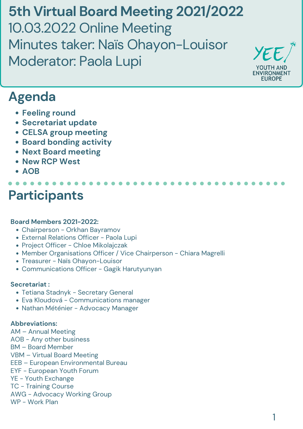- Tetiana Stadnyk Secretary General
- Eva Kloudová Communications manager
- Nathan Méténier Advocacy Manager

#### **Board Members 2021-2022:**

- Chairperson Orkhan Bayramov
	- External Relations Officer Paola Lupi
	- Project Officer Chloe Mikolajczak
	- Member Organisations Officer / Vice Chairperson Chiara Magrelli
	- Treasurer Naïs Ohayon-Louisor
	- Communications Officer Gagik Harutyunyan

#### **Secretariat :**

#### **Abbreviations:**

AM – Annual Meeting AOB - Any other business BM – Board Member VBM – Virtual Board Meeting EEB – European Environmental Bureau EYF - European Youth Forum YE - Youth Exchange TC - Training Course AWG - Advocacy Working Group WP - Work Plan

# **Participants**

**5th Virtual Board Meeting 2021/2022** 10.03.2022 Online Meeting Minutes taker: Naïs Ohayon-Louisor Moderator: Paola Lupi



# **Agenda**

- **Feeling round**
- **Secretariat update**
- **CELSA group meeting**
- **Board bonding activity**
- **Next Board meeting**
- **New RCP West**
- **AOB**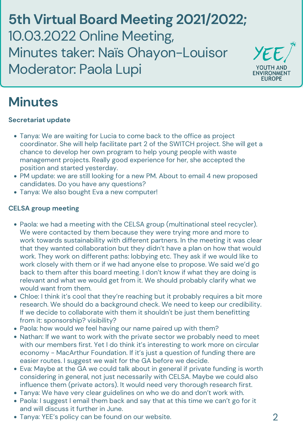**5th Virtual Board Meeting 2021/2022;** 10.03.2022 Online Meeting, Minutes taker: Naïs Ohayon-Louisor Moderator: Paola Lupi



- Tanya: We are waiting for Lucia to come back to the office as project coordinator. She will help facilitate part 2 of the SWITCH project. She will get a chance to develop her own program to help young people with waste management projects. Really good experience for her, she accepted the position and started yesterday.
- PM update: we are still looking for a new PM. About to email 4 new proposed candidates. Do you have any questions?
- Tanya: We also bought Eva a new computer!  $\bullet$

## **Minutes**

Paola: we had a meeting with the CELSA group (multinational steel recycler).

We were contacted by them because they were trying more and more to work towards sustainability with different partners. In the meeting it was clear that they wanted collaboration but they didn't have a plan on how that would work. They work on different paths: lobbying etc. They ask if we would like to work closely with them or if we had anyone else to propose. We said we'd go back to them after this board meeting. I don't know if what they are doing is relevant and what we would get from it. We should probably clarify what we would want from them.

- Chloe: I think it's cool that they're reaching but it probably requires a bit more research. We should do a background check. We need to keep our credibility. If we decide to collaborate with them it shouldn 't be just them benefitting from it: sponsorship? visibility?
- Paola: how would we feel having our name paired up with them?
- Nathan: If we want to work with the private sector we probably need to meet with our members first. Yet I do think it's interesting to work more on circular economy - MacArthur Foundation. If it's just a question of funding there are easier routes. I suggest we wait for the GA before we decide.
- Eva: Maybe at the GA we could talk about in general if private funding is worth considering in general, not just necessarily with CELSA. Maybe we could also influence them (private actors). It would need very thorough research first.
- Tanya: We have very clear guidelines on who we do and don't work with.
- Paola: I suggest I email them back and say that at this time we can't go for it and will discuss it further in June.
- Tanya: YEE's policy can be found on our website.

#### **Secretariat update**

#### **CELSA group meeting**